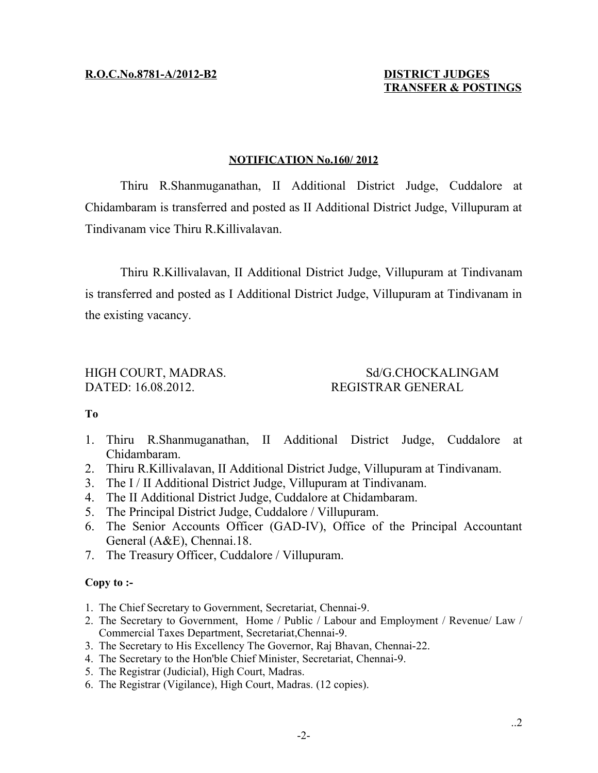## **TRANSFER & POSTINGS**

#### **NOTIFICATION No.160/ 2012**

Thiru R.Shanmuganathan, II Additional District Judge, Cuddalore at Chidambaram is transferred and posted as II Additional District Judge, Villupuram at Tindivanam vice Thiru R.Killivalavan.

Thiru R.Killivalavan, II Additional District Judge, Villupuram at Tindivanam is transferred and posted as I Additional District Judge, Villupuram at Tindivanam in the existing vacancy.

## DATED: 16.08.2012. REGISTRAR GENERAL

# HIGH COURT, MADRAS. Sd/G.CHOCKALINGAM

### **To**

- 1. Thiru R.Shanmuganathan, II Additional District Judge, Cuddalore at Chidambaram.
- 2. Thiru R.Killivalavan, II Additional District Judge, Villupuram at Tindivanam.
- 3. The I / II Additional District Judge, Villupuram at Tindivanam.
- 4. The II Additional District Judge, Cuddalore at Chidambaram.
- 5. The Principal District Judge, Cuddalore / Villupuram.
- 6. The Senior Accounts Officer (GAD-IV), Office of the Principal Accountant General (A&E), Chennai.18.
- 7. The Treasury Officer, Cuddalore / Villupuram.

### **Copy to :-**

- 1. The Chief Secretary to Government, Secretariat, Chennai-9.
- 2. The Secretary to Government, Home / Public / Labour and Employment / Revenue/ Law / Commercial Taxes Department, Secretariat,Chennai-9.
- 3. The Secretary to His Excellency The Governor, Raj Bhavan, Chennai-22.
- 4. The Secretary to the Hon'ble Chief Minister, Secretariat, Chennai-9.
- 5. The Registrar (Judicial), High Court, Madras.
- 6. The Registrar (Vigilance), High Court, Madras. (12 copies).